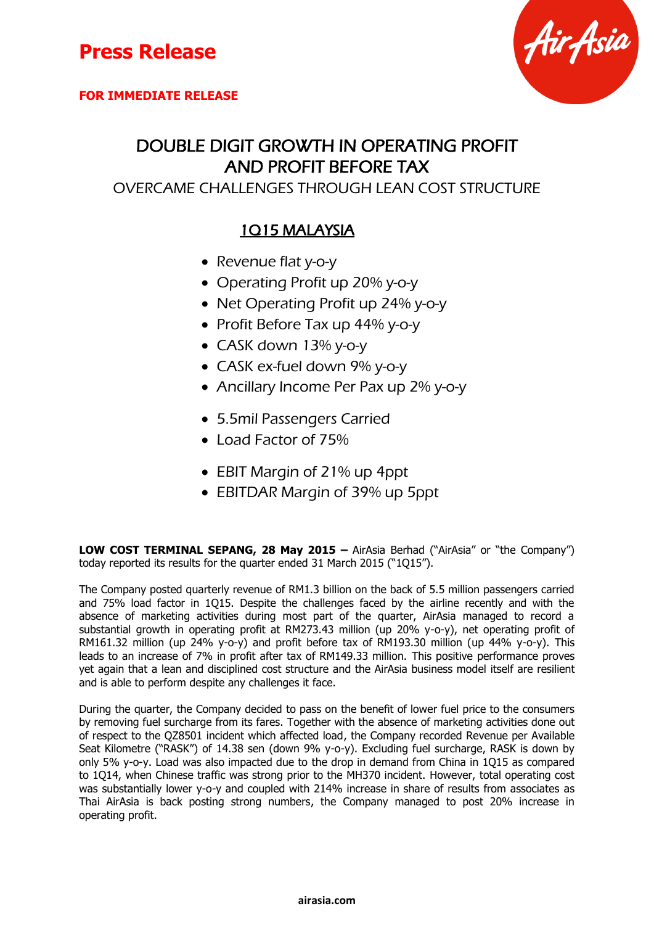**FOR IMMEDIATE RELEASE**



### DOUBLE DIGIT GROWTH IN OPERATING PROFIT AND PROFIT BEFORE TAX

OVERCAME CHALLENGES THROUGH LEAN COST STRUCTURE

#### 1Q15 MALAYSIA

- Revenue flat y-o-y
- Operating Profit up 20% y-o-y
- Net Operating Profit up 24% y-o-y
- Profit Before Tax up 44% y-o-y
- CASK down 13% y-o-y
- CASK ex-fuel down 9% y-o-y
- Ancillary Income Per Pax up 2% y-o-y
- 5.5mil Passengers Carried
- Load Factor of 75%
- EBIT Margin of 21% up 4ppt
- EBITDAR Margin of 39% up 5ppt

**LOW COST TERMINAL SEPANG, 28 May 2015 – AirAsia Berhad ("AirAsia" or "the Company")** today reported its results for the quarter ended 31 March 2015 ("1Q15").

The Company posted quarterly revenue of RM1.3 billion on the back of 5.5 million passengers carried and 75% load factor in 1Q15. Despite the challenges faced by the airline recently and with the absence of marketing activities during most part of the quarter, AirAsia managed to record a substantial growth in operating profit at RM273.43 million (up 20% y-o-y), net operating profit of RM161.32 million (up 24% y-o-y) and profit before tax of RM193.30 million (up 44% y-o-y). This leads to an increase of 7% in profit after tax of RM149.33 million. This positive performance proves yet again that a lean and disciplined cost structure and the AirAsia business model itself are resilient and is able to perform despite any challenges it face.

During the quarter, the Company decided to pass on the benefit of lower fuel price to the consumers by removing fuel surcharge from its fares. Together with the absence of marketing activities done out of respect to the QZ8501 incident which affected load, the Company recorded Revenue per Available Seat Kilometre ("RASK") of 14.38 sen (down 9% y-o-y). Excluding fuel surcharge, RASK is down by only 5% y-o-y. Load was also impacted due to the drop in demand from China in 1Q15 as compared to 1Q14, when Chinese traffic was strong prior to the MH370 incident. However, total operating cost was substantially lower y-o-y and coupled with 214% increase in share of results from associates as Thai AirAsia is back posting strong numbers, the Company managed to post 20% increase in operating profit.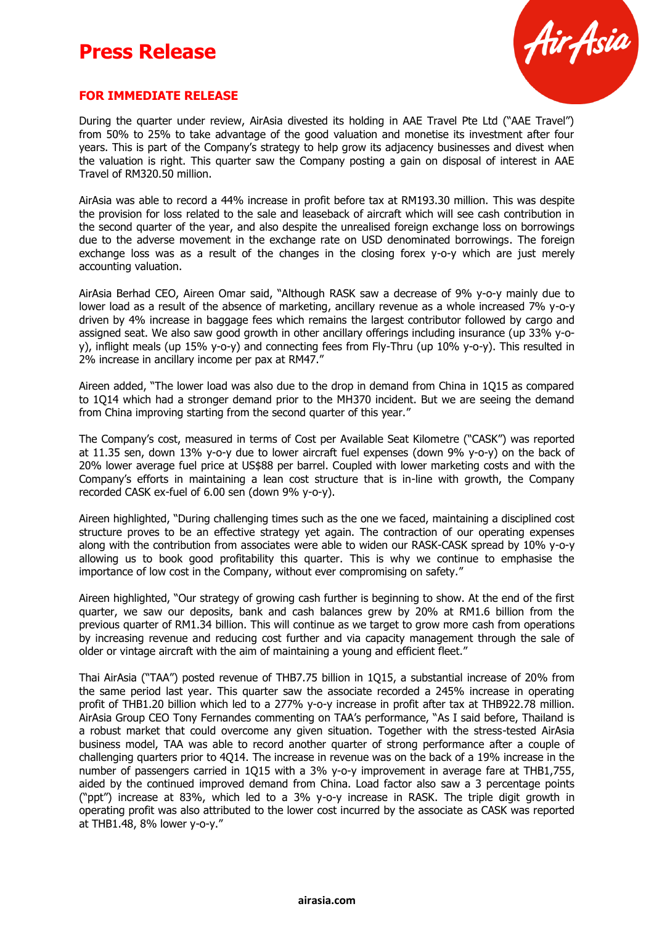

#### **FOR IMMEDIATE RELEASE**

During the quarter under review, AirAsia divested its holding in AAE Travel Pte Ltd ("AAE Travel") from 50% to 25% to take advantage of the good valuation and monetise its investment after four years. This is part of the Company's strategy to help grow its adjacency businesses and divest when the valuation is right. This quarter saw the Company posting a gain on disposal of interest in AAE Travel of RM320.50 million.

AirAsia was able to record a 44% increase in profit before tax at RM193.30 million. This was despite the provision for loss related to the sale and leaseback of aircraft which will see cash contribution in the second quarter of the year, and also despite the unrealised foreign exchange loss on borrowings due to the adverse movement in the exchange rate on USD denominated borrowings. The foreign exchange loss was as a result of the changes in the closing forex y-o-y which are just merely accounting valuation.

AirAsia Berhad CEO, Aireen Omar said, "Although RASK saw a decrease of 9% y-o-y mainly due to lower load as a result of the absence of marketing, ancillary revenue as a whole increased 7% y-o-y driven by 4% increase in baggage fees which remains the largest contributor followed by cargo and assigned seat. We also saw good growth in other ancillary offerings including insurance (up 33% y-oy), inflight meals (up 15% y-o-y) and connecting fees from Fly-Thru (up 10% y-o-y). This resulted in 2% increase in ancillary income per pax at RM47."

Aireen added, "The lower load was also due to the drop in demand from China in 1Q15 as compared to 1Q14 which had a stronger demand prior to the MH370 incident. But we are seeing the demand from China improving starting from the second quarter of this year."

The Company's cost, measured in terms of Cost per Available Seat Kilometre ("CASK") was reported at 11.35 sen, down 13% y-o-y due to lower aircraft fuel expenses (down 9% y-o-y) on the back of 20% lower average fuel price at US\$88 per barrel. Coupled with lower marketing costs and with the Company's efforts in maintaining a lean cost structure that is in-line with growth, the Company recorded CASK ex-fuel of 6.00 sen (down 9% y-o-y).

Aireen highlighted, "During challenging times such as the one we faced, maintaining a disciplined cost structure proves to be an effective strategy yet again. The contraction of our operating expenses along with the contribution from associates were able to widen our RASK-CASK spread by 10% y-o-y allowing us to book good profitability this quarter. This is why we continue to emphasise the importance of low cost in the Company, without ever compromising on safety."

Aireen highlighted, "Our strategy of growing cash further is beginning to show. At the end of the first quarter, we saw our deposits, bank and cash balances grew by 20% at RM1.6 billion from the previous quarter of RM1.34 billion. This will continue as we target to grow more cash from operations by increasing revenue and reducing cost further and via capacity management through the sale of older or vintage aircraft with the aim of maintaining a young and efficient fleet."

Thai AirAsia ("TAA") posted revenue of THB7.75 billion in 1Q15, a substantial increase of 20% from the same period last year. This quarter saw the associate recorded a 245% increase in operating profit of THB1.20 billion which led to a 277% y-o-y increase in profit after tax at THB922.78 million. AirAsia Group CEO Tony Fernandes commenting on TAA's performance, "As I said before, Thailand is a robust market that could overcome any given situation. Together with the stress-tested AirAsia business model, TAA was able to record another quarter of strong performance after a couple of challenging quarters prior to 4Q14. The increase in revenue was on the back of a 19% increase in the number of passengers carried in 1Q15 with a 3% y-o-y improvement in average fare at THB1,755, aided by the continued improved demand from China. Load factor also saw a 3 percentage points ("ppt") increase at 83%, which led to a 3% y-o-y increase in RASK. The triple digit growth in operating profit was also attributed to the lower cost incurred by the associate as CASK was reported at THB1.48, 8% lower y-o-y."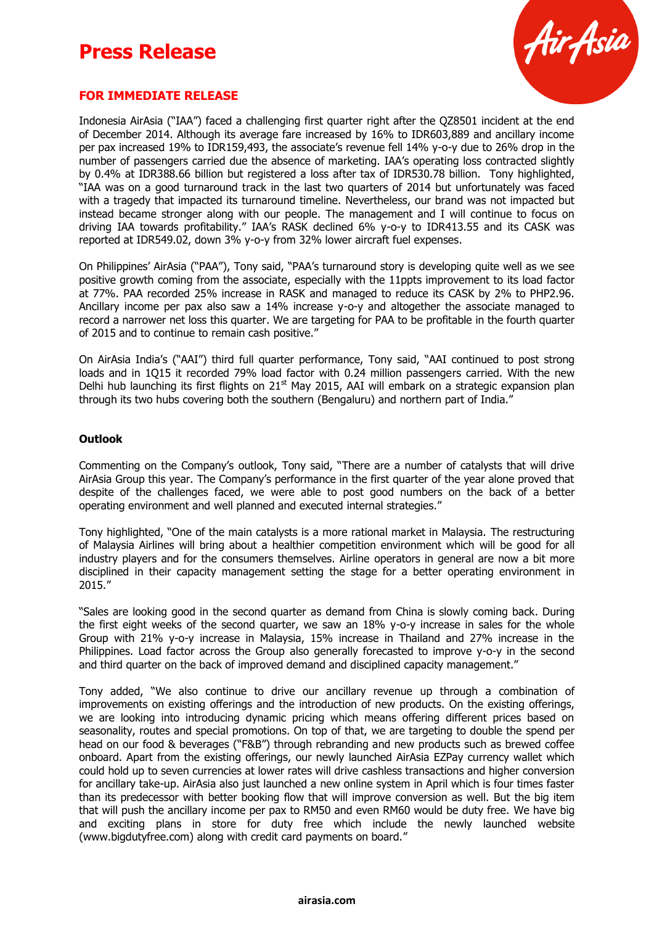

#### **FOR IMMEDIATE RELEASE**

Indonesia AirAsia ("IAA") faced a challenging first quarter right after the QZ8501 incident at the end of December 2014. Although its average fare increased by 16% to IDR603,889 and ancillary income per pax increased 19% to IDR159,493, the associate's revenue fell 14% y-o-y due to 26% drop in the number of passengers carried due the absence of marketing. IAA's operating loss contracted slightly by 0.4% at IDR388.66 billion but registered a loss after tax of IDR530.78 billion. Tony highlighted, "IAA was on a good turnaround track in the last two quarters of 2014 but unfortunately was faced with a tragedy that impacted its turnaround timeline. Nevertheless, our brand was not impacted but instead became stronger along with our people. The management and I will continue to focus on driving IAA towards profitability." IAA's RASK declined 6% y-o-y to IDR413.55 and its CASK was reported at IDR549.02, down 3% y-o-y from 32% lower aircraft fuel expenses.

On Philippines' AirAsia ("PAA"), Tony said, "PAA's turnaround story is developing quite well as we see positive growth coming from the associate, especially with the 11ppts improvement to its load factor at 77%. PAA recorded 25% increase in RASK and managed to reduce its CASK by 2% to PHP2.96. Ancillary income per pax also saw a 14% increase y-o-y and altogether the associate managed to record a narrower net loss this quarter. We are targeting for PAA to be profitable in the fourth quarter of 2015 and to continue to remain cash positive."

On AirAsia India's ("AAI") third full quarter performance, Tony said, "AAI continued to post strong loads and in 1Q15 it recorded 79% load factor with 0.24 million passengers carried. With the new Delhi hub launching its first flights on  $21<sup>st</sup>$  May 2015, AAI will embark on a strategic expansion plan through its two hubs covering both the southern (Bengaluru) and northern part of India."

#### **Outlook**

Commenting on the Company's outlook, Tony said, "There are a number of catalysts that will drive AirAsia Group this year. The Company's performance in the first quarter of the year alone proved that despite of the challenges faced, we were able to post good numbers on the back of a better operating environment and well planned and executed internal strategies."

Tony highlighted, "One of the main catalysts is a more rational market in Malaysia. The restructuring of Malaysia Airlines will bring about a healthier competition environment which will be good for all industry players and for the consumers themselves. Airline operators in general are now a bit more disciplined in their capacity management setting the stage for a better operating environment in 2015."

"Sales are looking good in the second quarter as demand from China is slowly coming back. During the first eight weeks of the second quarter, we saw an 18% y-o-y increase in sales for the whole Group with 21% y-o-y increase in Malaysia, 15% increase in Thailand and 27% increase in the Philippines. Load factor across the Group also generally forecasted to improve y-o-y in the second and third quarter on the back of improved demand and disciplined capacity management."

Tony added, "We also continue to drive our ancillary revenue up through a combination of improvements on existing offerings and the introduction of new products. On the existing offerings, we are looking into introducing dynamic pricing which means offering different prices based on seasonality, routes and special promotions. On top of that, we are targeting to double the spend per head on our food & beverages ("F&B") through rebranding and new products such as brewed coffee onboard. Apart from the existing offerings, our newly launched AirAsia EZPay currency wallet which could hold up to seven currencies at lower rates will drive cashless transactions and higher conversion for ancillary take-up. AirAsia also just launched a new online system in April which is four times faster than its predecessor with better booking flow that will improve conversion as well. But the big item that will push the ancillary income per pax to RM50 and even RM60 would be duty free. We have big and exciting plans in store for duty free which include the newly launched website (www.bigdutyfree.com) along with credit card payments on board."